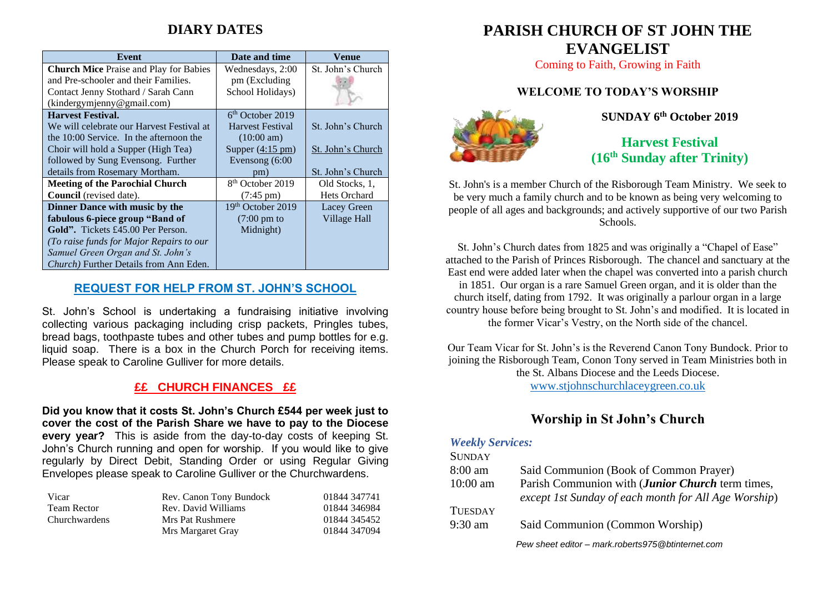## **DIARY DATES**

| Event                                          | Date and time                | Venue               |
|------------------------------------------------|------------------------------|---------------------|
| <b>Church Mice Praise and Play for Babies</b>  | Wednesdays, 2:00             | St. John's Church   |
| and Pre-schooler and their Families.           | pm (Excluding                |                     |
| Contact Jenny Stothard / Sarah Cann            | School Holidays)             |                     |
| (kindergymjenny@gmail.com)                     |                              |                     |
| <b>Harvest Festival.</b>                       | $6th$ October 2019           |                     |
| We will celebrate our Harvest Festival at      | <b>Harvest Festival</b>      | St. John's Church   |
| the 10:00 Service. In the afternoon the        | $(10:00 \text{ am})$         |                     |
| Choir will hold a Supper (High Tea)            | Supper $(4:15 \text{ pm})$   | St. John's Church   |
| followed by Sung Evensong. Further             | Evensong $(6:00)$            |                     |
| details from Rosemary Mortham.                 | pm)                          | St. John's Church   |
| <b>Meeting of the Parochial Church</b>         | 8 <sup>th</sup> October 2019 | Old Stocks, 1,      |
| Council (revised date).                        | $(7:45 \text{ pm})$          | <b>Hets Orchard</b> |
| Dinner Dance with music by the                 | 19th October 2019            | Lacey Green         |
| fabulous 6-piece group "Band of                | $(7:00 \text{ pm to})$       | Village Hall        |
| <b>Gold".</b> Tickets £45.00 Per Person.       | Midnight)                    |                     |
| (To raise funds for Major Repairs to our       |                              |                     |
| Samuel Green Organ and St. John's              |                              |                     |
| <i>Church</i> ) Further Details from Ann Eden. |                              |                     |

#### **REQUEST FOR HELP FROM ST. JOHN'S SCHOOL**

St. John's School is undertaking a fundraising initiative involving collecting various packaging including crisp packets, Pringles tubes, bread bags, toothpaste tubes and other tubes and pump bottles for e.g. liquid soap. There is a box in the Church Porch for receiving items. Please speak to Caroline Gulliver for more details.

#### **££ CHURCH FINANCES ££**

**Did you know that it costs St. John's Church £544 per week just to cover the cost of the Parish Share we have to pay to the Diocese every year?** This is aside from the day-to-day costs of keeping St. John's Church running and open for worship. If you would like to give regularly by Direct Debit, Standing Order or using Regular Giving Envelopes please speak to Caroline Gulliver or the Churchwardens.

| Vicar         | Rev. Canon Tony Bundock | 01844 347741 |
|---------------|-------------------------|--------------|
| Team Rector   | Rev. David Williams     | 01844 346984 |
| Churchwardens | Mrs Pat Rushmere        | 01844 345452 |
|               | Mrs Margaret Gray       | 01844 347094 |

# **PARISH CHURCH OF ST JOHN THE EVANGELIST**

Coming to Faith, Growing in Faith

#### **WELCOME TO TODAY'S WORSHIP**



**SUNDAY 6 th October 2019**

**Harvest Festival (16 th Sunday after Trinity)**

St. John's is a member Church of the Risborough Team Ministry. We seek to be very much a family church and to be known as being very welcoming to people of all ages and backgrounds; and actively supportive of our two Parish Schools.

St. John's Church dates from 1825 and was originally a "Chapel of Ease" attached to the Parish of Princes Risborough. The chancel and sanctuary at the East end were added later when the chapel was converted into a parish church in 1851. Our organ is a rare Samuel Green organ, and it is older than the church itself, dating from 1792. It was originally a parlour organ in a large country house before being brought to St. John's and modified. It is located in the former Vicar's Vestry, on the North side of the chancel.

Our Team Vicar for St. John's is the Reverend Canon Tony Bundock. Prior to joining the Risborough Team, Conon Tony served in Team Ministries both in the St. Albans Diocese and the Leeds Diocese. [www.stjohnschurchlaceygreen.co.uk](http://www.stjohnschurchlaceygreen.co.uk/)

### **Worship in St John's Church**

#### *Weekly Services:*  $C$ *IMIDAY*

| <b>DUNDAT</b>     |                                                      |
|-------------------|------------------------------------------------------|
| $8:00 \text{ am}$ | Said Communion (Book of Common Prayer)               |
| $10:00$ am        | Parish Communion with (Junior Church term times,     |
|                   | except 1st Sunday of each month for All Age Worship) |
| <b>TUESDAY</b>    |                                                      |
| $9:30$ am         | Said Communion (Common Worship)                      |
|                   | Pew sheet editor - mark.roberts975@btinternet.com    |